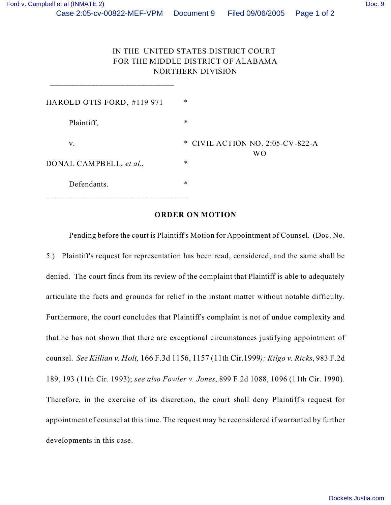\_\_\_\_\_\_\_\_\_\_\_\_\_\_\_\_\_\_\_\_\_\_\_\_\_\_\_\_\_\_

## IN THE UNITED STATES DISTRICT COURT FOR THE MIDDLE DISTRICT OF ALABAMA NORTHERN DIVISION

| HAROLD OTIS FORD, #119 971 | $\ast$                                             |
|----------------------------|----------------------------------------------------|
| Plaintiff,                 | $\ast$                                             |
| V.                         | * CIVIL ACTION NO. 2:05-CV-822-A<br>W <sub>O</sub> |
| DONAL CAMPBELL, et al.,    | $\ast$                                             |
| Defendants.                | $\ast$                                             |

## **ORDER ON MOTION**

Pending before the court is Plaintiff's Motion for Appointment of Counsel. (Doc. No. 5.) Plaintiff's request for representation has been read, considered, and the same shall be denied. The court finds from its review of the complaint that Plaintiff is able to adequately articulate the facts and grounds for relief in the instant matter without notable difficulty. Furthermore, the court concludes that Plaintiff's complaint is not of undue complexity and that he has not shown that there are exceptional circumstances justifying appointment of counsel. *See Killian v. Holt,* 166 F.3d 1156, 1157 (11th Cir.1999*); Kilgo v. Ricks*, 983 F.2d 189, 193 (11th Cir. 1993); *see also Fowler v. Jones*, 899 F.2d 1088, 1096 (11th Cir. 1990). Therefore, in the exercise of its discretion, the court shall deny Plaintiff's request for appointment of counsel at this time. The request may be reconsidered if warranted by further developments in this case.